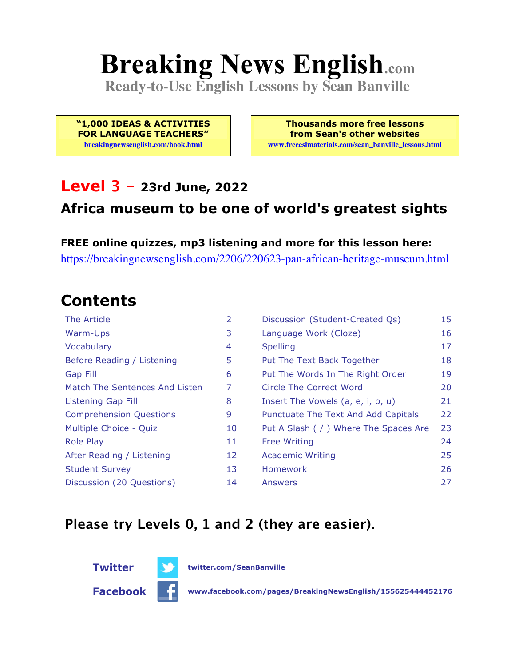# **Breaking News English.com**

**Ready-to-Use English Lessons by Sean Banville**

**"1,000 IDEAS & ACTIVITIES FOR LANGUAGE TEACHERS" breakingnewsenglish.com/book.html**

**Thousands more free lessons from Sean's other websites www.freeeslmaterials.com/sean\_banville\_lessons.html**

#### **Level 3 - 23rd June, 2022**

#### **Africa museum to be one of world's greatest sights**

**FREE online quizzes, mp3 listening and more for this lesson here:** https://breakingnewsenglish.com/2206/220623-pan-african-heritage-museum.html

#### **Contents**

| The Article                    | 2  | Discussion (Student-Created Qs)        | 15 |
|--------------------------------|----|----------------------------------------|----|
| Warm-Ups                       | 3  | Language Work (Cloze)                  | 16 |
| Vocabulary                     | 4  | <b>Spelling</b>                        | 17 |
| Before Reading / Listening     | 5  | Put The Text Back Together             | 18 |
| Gap Fill                       | 6  | Put The Words In The Right Order       | 19 |
| Match The Sentences And Listen | 7  | Circle The Correct Word                | 20 |
| Listening Gap Fill             | 8  | Insert The Vowels (a, e, i, o, u)      | 21 |
| <b>Comprehension Questions</b> | 9  | Punctuate The Text And Add Capitals    | 22 |
| Multiple Choice - Quiz         | 10 | Put A Slash ( / ) Where The Spaces Are | 23 |
| <b>Role Play</b>               | 11 | <b>Free Writing</b>                    | 24 |
| After Reading / Listening      | 12 | <b>Academic Writing</b>                | 25 |
| <b>Student Survey</b>          | 13 | <b>Homework</b>                        | 26 |
| Discussion (20 Questions)      | 14 | Answers                                | 27 |

#### **Please try Levels 0, 1 and 2 (they are easier).**



**Facebook www.facebook.com/pages/BreakingNewsEnglish/155625444452176**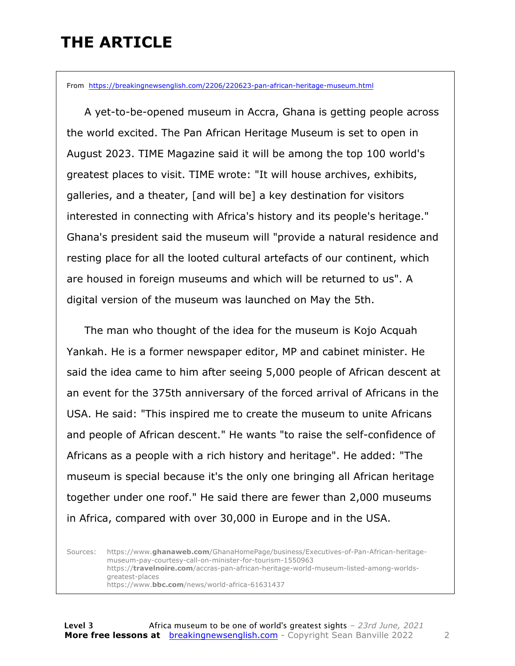### **THE ARTICLE**

From https://breakingnewsenglish.com/2206/220623-pan-african-heritage-museum.html

 A yet-to-be-opened museum in Accra, Ghana is getting people across the world excited. The Pan African Heritage Museum is set to open in August 2023. TIME Magazine said it will be among the top 100 world's greatest places to visit. TIME wrote: "It will house archives, exhibits, galleries, and a theater, [and will be] a key destination for visitors interested in connecting with Africa's history and its people's heritage." Ghana's president said the museum will "provide a natural residence and resting place for all the looted cultural artefacts of our continent, which are housed in foreign museums and which will be returned to us". A digital version of the museum was launched on May the 5th.

 The man who thought of the idea for the museum is Kojo Acquah Yankah. He is a former newspaper editor, MP and cabinet minister. He said the idea came to him after seeing 5,000 people of African descent at an event for the 375th anniversary of the forced arrival of Africans in the USA. He said: "This inspired me to create the museum to unite Africans and people of African descent." He wants "to raise the self-confidence of Africans as a people with a rich history and heritage". He added: "The museum is special because it's the only one bringing all African heritage together under one roof." He said there are fewer than 2,000 museums in Africa, compared with over 30,000 in Europe and in the USA.

Sources: https://www.**ghanaweb.com**/GhanaHomePage/business/Executives-of-Pan-African-heritagemuseum-pay-courtesy-call-on-minister-for-tourism-1550963 https://**travelnoire.com**/accras-pan-african-heritage-world-museum-listed-among-worldsgreatest-places https://www.**bbc.com**/news/world-africa-61631437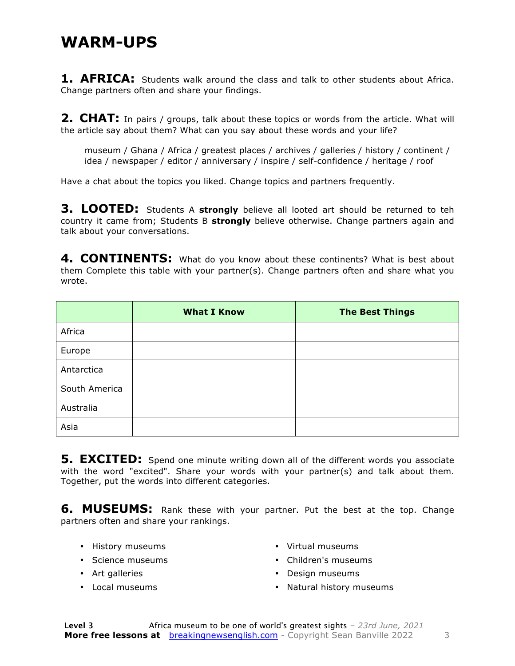#### **WARM-UPS**

**1. AFRICA:** Students walk around the class and talk to other students about Africa. Change partners often and share your findings.

**2. CHAT:** In pairs / groups, talk about these topics or words from the article. What will the article say about them? What can you say about these words and your life?

museum / Ghana / Africa / greatest places / archives / galleries / history / continent / idea / newspaper / editor / anniversary / inspire / self-confidence / heritage / roof

Have a chat about the topics you liked. Change topics and partners frequently.

**3. LOOTED:** Students A **strongly** believe all looted art should be returned to teh country it came from; Students B **strongly** believe otherwise. Change partners again and talk about your conversations.

4. CONTINENTS: What do you know about these continents? What is best about them Complete this table with your partner(s). Change partners often and share what you wrote.

|               | <b>What I Know</b> | <b>The Best Things</b> |
|---------------|--------------------|------------------------|
| Africa        |                    |                        |
| Europe        |                    |                        |
| Antarctica    |                    |                        |
| South America |                    |                        |
| Australia     |                    |                        |
| Asia          |                    |                        |

**5. EXCITED:** Spend one minute writing down all of the different words you associate with the word "excited". Share your words with your partner(s) and talk about them. Together, put the words into different categories.

**6. MUSEUMS:** Rank these with your partner. Put the best at the top. Change partners often and share your rankings.

- History museums
- Science museums
- Art galleries
- Local museums
- Virtual museums
- Children's museums
- Design museums
- Natural history museums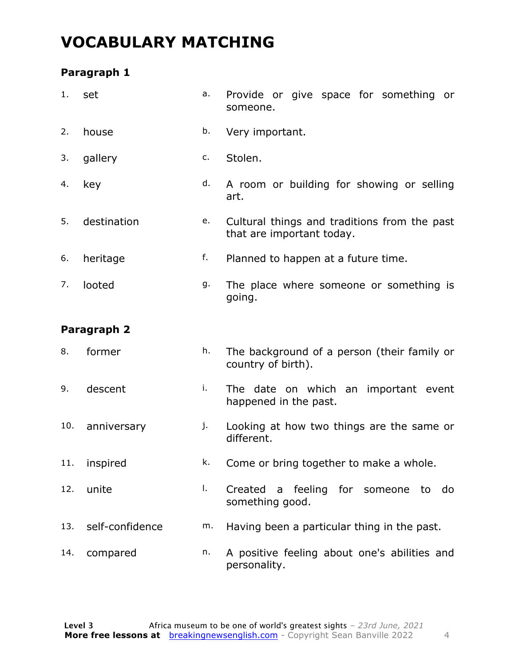### **VOCABULARY MATCHING**

#### **Paragraph 1**

| 1.  | set             | a. | Provide or give space for something or<br>someone.                        |  |  |  |  |  |  |  |  |
|-----|-----------------|----|---------------------------------------------------------------------------|--|--|--|--|--|--|--|--|
| 2.  | house           | b. | Very important.                                                           |  |  |  |  |  |  |  |  |
| 3.  | gallery         | c. | Stolen.                                                                   |  |  |  |  |  |  |  |  |
| 4.  | key             | d. | A room or building for showing or selling<br>art.                         |  |  |  |  |  |  |  |  |
| 5.  | destination     | е. | Cultural things and traditions from the past<br>that are important today. |  |  |  |  |  |  |  |  |
| 6.  | heritage        | f. | Planned to happen at a future time.                                       |  |  |  |  |  |  |  |  |
| 7.  | looted          | g. | The place where someone or something is<br>going.                         |  |  |  |  |  |  |  |  |
|     | Paragraph 2     |    |                                                                           |  |  |  |  |  |  |  |  |
| 8.  | former          | h. | The background of a person (their family or<br>country of birth).         |  |  |  |  |  |  |  |  |
| 9.  | descent         | i. | The date on which an important event<br>happened in the past.             |  |  |  |  |  |  |  |  |
| 10. | anniversary     | j. | Looking at how two things are the same or<br>different.                   |  |  |  |  |  |  |  |  |
|     | 11. inspired    |    | k. Come or bring together to make a whole.                                |  |  |  |  |  |  |  |  |
| 12. | unite           | I. | Created a feeling for someone to do<br>something good.                    |  |  |  |  |  |  |  |  |
| 13. | self-confidence | m. | Having been a particular thing in the past.                               |  |  |  |  |  |  |  |  |
| 14. | compared        | n. | A positive feeling about one's abilities and<br>personality.              |  |  |  |  |  |  |  |  |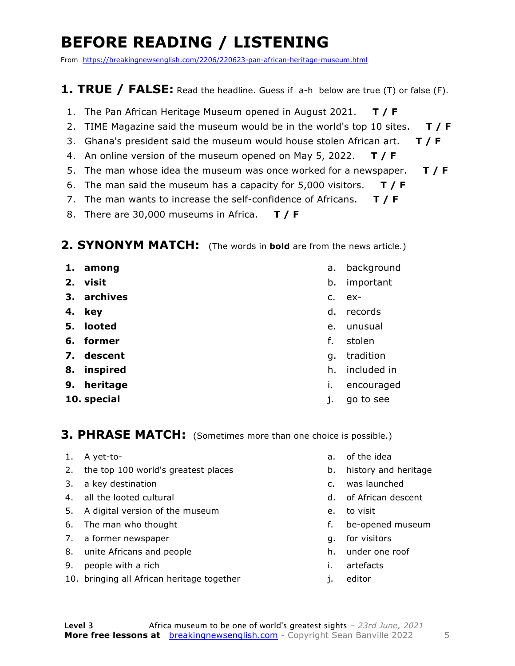### **BEFORE READING / LISTENING**

From https://breakingnewsenglish.com/2206/220623-pan-african-heritage-museum.html

#### **1. TRUE / FALSE:** Read the headline. Guess if a-h below are true (T) or false (F).

- 1. The Pan African Heritage Museum opened in August 2021. **T / F**
- 2. TIME Magazine said the museum would be in the world's top 10 sites. **T / F**
- 3. Ghana's president said the museum would house stolen African art. **T / F**
- 4. An online version of the museum opened on May 5, 2022. **T / F**
- 5. The man whose idea the museum was once worked for a newspaper. **T / F**
- 6. The man said the museum has a capacity for 5,000 visitors. **T / F**
- 7. The man wants to increase the self-confidence of Africans. **T / F**
- 8. There are 30,000 museums in Africa. **T / F**

#### **2. SYNONYM MATCH:** (The words in **bold** are from the news article.)

- **1. among**
- **2. visit**
- **3. archives**
- **4. key**
- **5. looted**
- **6. former**
- **7. descent**
- **8. inspired**
- **9. heritage**
- **10. special**
- a. background
- b. important
- c. ex-
- d. records
- e. unusual
- f. stolen
- g. tradition
- h. included in
- i. encouraged
- j. go to see

#### **3. PHRASE MATCH:** (Sometimes more than one choice is possible.)

- 1. A yet-to-
- 2. the top 100 world's greatest places
- 3. a key destination
- 4. all the looted cultural
- 5. A digital version of the museum
- 6. The man who thought
- 7. a former newspaper
- 8. unite Africans and people
- 9. people with a rich
- 10. bringing all African heritage together
- a. of the idea
- b. history and heritage
- c. was launched
- d. of African descent
- e. to visit
- f. be-opened museum
- g. for visitors
- h. under one roof
- i. artefacts
- j. editor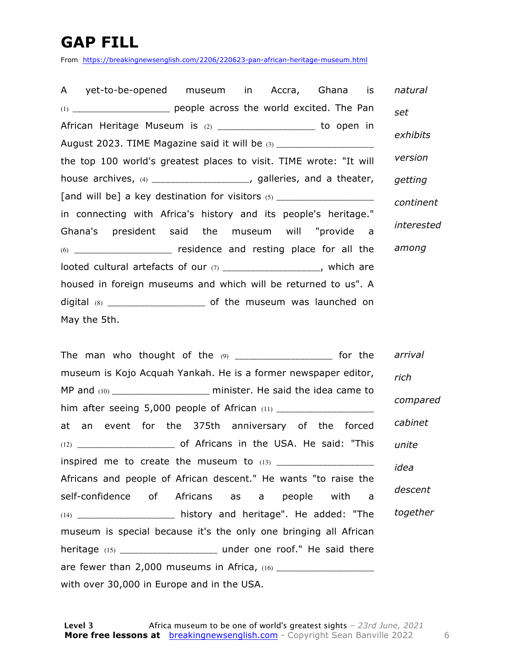### **GAP FILL**

From https://breakingnewsenglish.com/2206/220623-pan-african-heritage-museum.html

| A yet-to-be-opened museum in Accra, Ghana is                            | natural    |
|-------------------------------------------------------------------------|------------|
| (1) _______________________ people across the world excited. The Pan    | set        |
| African Heritage Museum is (2) _____________________ to open in         |            |
| August 2023. TIME Magazine said it will be (3) _____________________    | exhibits   |
| the top 100 world's greatest places to visit. TIME wrote: "It will      | version    |
| house archives, $(4)$ ____________________, galleries, and a theater,   | getting    |
|                                                                         | continent  |
| in connecting with Africa's history and its people's heritage."         |            |
| Ghana's president said the museum will "provide a                       | interested |
| $(6)$ ______________________ residence and resting place for all the    | among      |
| looted cultural artefacts of our $(7)$ _____________________, which are |            |
| housed in foreign museums and which will be returned to us". A          |            |
|                                                                         |            |
| May the 5th.                                                            |            |

| The man who thought of the $\omega$ _____________________ for the      | arrival  |
|------------------------------------------------------------------------|----------|
| museum is Kojo Acquah Yankah. He is a former newspaper editor,         | rich     |
| MP and (10) _______________________ minister. He said the idea came to |          |
|                                                                        | compared |
| at an event for the 375th anniversary of the forced                    | cabinet  |
|                                                                        | unite    |
|                                                                        | idea     |
| Africans and people of African descent." He wants "to raise the        |          |
| self-confidence of Africans as a people with a                         | descent  |
| (14) _____________________ history and heritage". He added: "The       | together |
| museum is special because it's the only one bringing all African       |          |
|                                                                        |          |
|                                                                        |          |
| with over 30,000 in Europe and in the USA.                             |          |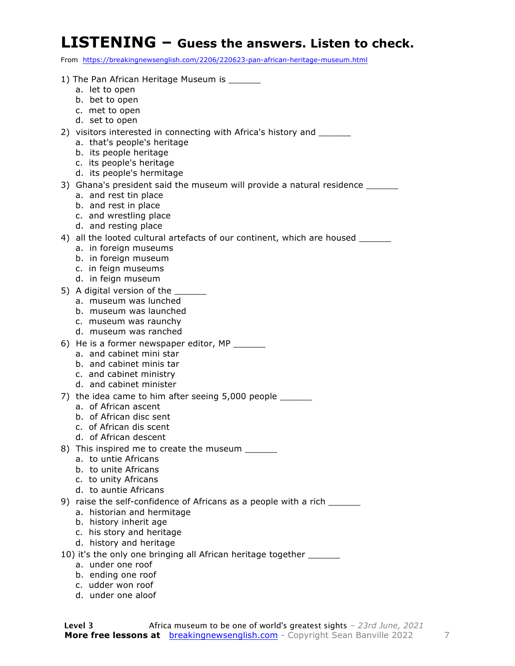#### **LISTENING – Guess the answers. Listen to check.**

From https://breakingnewsenglish.com/2206/220623-pan-african-heritage-museum.html

- 1) The Pan African Heritage Museum is
	- a. let to open
	- b. bet to open
	- c. met to open
	- d. set to open
- 2) visitors interested in connecting with Africa's history and \_\_\_\_\_\_
	- a. that's people's heritage
	- b. its people heritage
	- c. its people's heritage
	- d. its people's hermitage
- 3) Ghana's president said the museum will provide a natural residence \_\_\_\_\_\_\_\_\_\_
	- a. and rest tin place
	- b. and rest in place
	- c. and wrestling place
	- d. and resting place
- 4) all the looted cultural artefacts of our continent, which are housed
	- a. in foreign museums
	- b. in foreign museum
	- c. in feign museums
	- d. in feign museum
- 5) A digital version of the
	- a. museum was lunched
	- b. museum was launched
	- c. museum was raunchy
	- d. museum was ranched
- 6) He is a former newspaper editor, MP \_\_\_\_\_\_
	- a. and cabinet mini star
	- b. and cabinet minis tar
	- c. and cabinet ministry
	- d. and cabinet minister
- 7) the idea came to him after seeing 5,000 people \_\_\_\_\_\_
	- a. of African ascent
	- b. of African disc sent
	- c. of African dis scent
	- d. of African descent
- 8) This inspired me to create the museum
	- a. to untie Africans
	- b. to unite Africans
	- c. to unity Africans
	- d. to auntie Africans
- 9) raise the self-confidence of Africans as a people with a rich \_\_\_\_\_\_
	- a. historian and hermitage
	- b. history inherit age
	- c. his story and heritage
	- d. history and heritage
- 10) it's the only one bringing all African heritage together \_\_\_\_\_\_
	- a. under one roof
	- b. ending one roof
	- c. udder won roof
	- d. under one aloof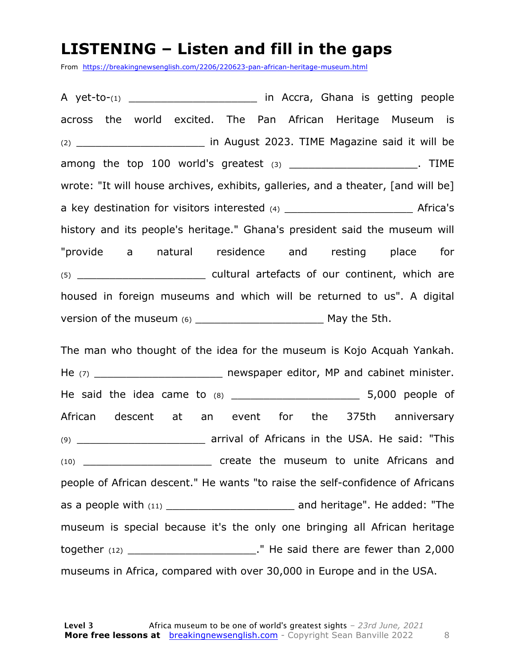#### **LISTENING – Listen and fill in the gaps**

From https://breakingnewsenglish.com/2206/220623-pan-african-heritage-museum.html

A yet-to-(1) and the same of the same in Accra, Ghana is getting people across the world excited. The Pan African Heritage Museum is (2) **Example 2018** in August 2023. TIME Magazine said it will be among the top  $100$  world's greatest  $(3)$  among the top  $(3)$ . wrote: "It will house archives, exhibits, galleries, and a theater, [and will be] a key destination for visitors interested (4) and the set of a set of Africa's history and its people's heritage." Ghana's president said the museum will "provide a natural residence and resting place for (5) **EXECUTE CONTROLLER CONTROLLER CONTROLLER CONTROLLER CONTROLLER CONTROLLER CONTROLLER CONTROLLER CONTROLLER CONTROLLER CONTROLLER CONTROLLER CONTROLLER CONTROLLER CONTROLLER CONTROLLER CONTROLLER CONTROLLER CONTROLLER** housed in foreign museums and which will be returned to us". A digital version of the museum (6) example 1 and 2 May the 5th.

The man who thought of the idea for the museum is Kojo Acquah Yankah. He (7) **He (7) Example 1 EXECUTE:** newspaper editor, MP and cabinet minister. He said the idea came to  $(8)$  and the idea came to  $(8)$  and the said the idea came to  $(8)$ African descent at an event for the 375th anniversary (9) **Example 2 arrival of Africans in the USA. He said: "This** (10) \_\_\_\_\_\_\_\_\_\_\_\_\_\_\_\_\_\_\_\_ create the museum to unite Africans and people of African descent." He wants "to raise the self-confidence of Africans as a people with  $(11)$  and heritage". He added: "The museum is special because it's the only one bringing all African heritage together  $(12)$  together  $(12)$ museums in Africa, compared with over 30,000 in Europe and in the USA.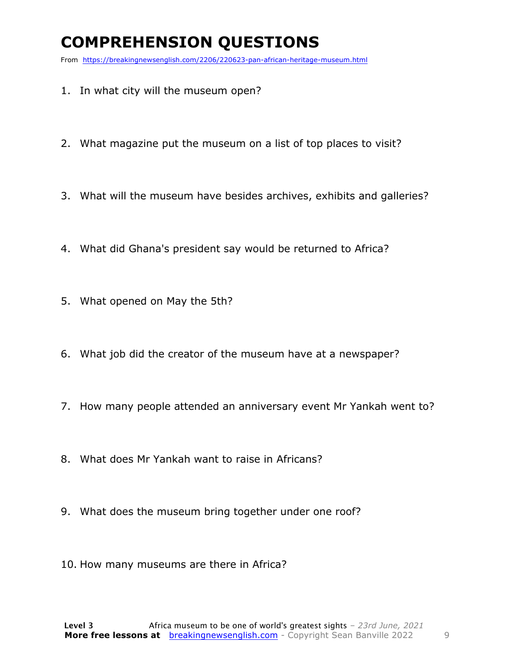### **COMPREHENSION QUESTIONS**

From https://breakingnewsenglish.com/2206/220623-pan-african-heritage-museum.html

- 1. In what city will the museum open?
- 2. What magazine put the museum on a list of top places to visit?
- 3. What will the museum have besides archives, exhibits and galleries?
- 4. What did Ghana's president say would be returned to Africa?
- 5. What opened on May the 5th?
- 6. What job did the creator of the museum have at a newspaper?
- 7. How many people attended an anniversary event Mr Yankah went to?
- 8. What does Mr Yankah want to raise in Africans?
- 9. What does the museum bring together under one roof?
- 10. How many museums are there in Africa?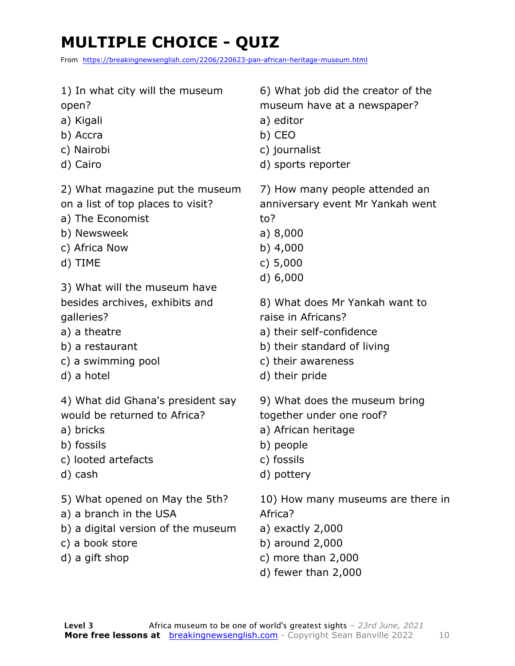## **MULTIPLE CHOICE - QUIZ**

From https://breakingnewsenglish.com/2206/220623-pan-african-heritage-museum.html

- 1) In what city will the museum
- open?
- a) Kigali
- b) Accra
- c) Nairobi
- d) Cairo

2) What magazine put the museum on a list of top places to visit?

- a) The Economist
- b) Newsweek
- c) Africa Now
- d) TIME

3) What will the museum have besides archives, exhibits and galleries?

- a) a theatre
- b) a restaurant
- c) a swimming pool
- d) a hotel

4) What did Ghana's president say would be returned to Africa?

- a) bricks
- b) fossils
- c) looted artefacts
- d) cash
- 5) What opened on May the 5th?
- a) a branch in the USA
- b) a digital version of the museum
- c) a book store
- d) a gift shop

6) What job did the creator of the museum have at a newspaper?

- a) editor
- b) CEO
- c) journalist
- d) sports reporter

7) How many people attended an anniversary event Mr Yankah went to?

- a) 8,000
- b) 4,000
- c) 5,000
- d) 6,000

8) What does Mr Yankah want to raise in Africans?

- a) their self-confidence
- b) their standard of living
- c) their awareness
- d) their pride

9) What does the museum bring together under one roof?

- a) African heritage
- b) people
- c) fossils
- d) pottery

10) How many museums are there in Africa?

- a) exactly 2,000
- b) around 2,000
- c) more than 2,000
- d) fewer than 2,000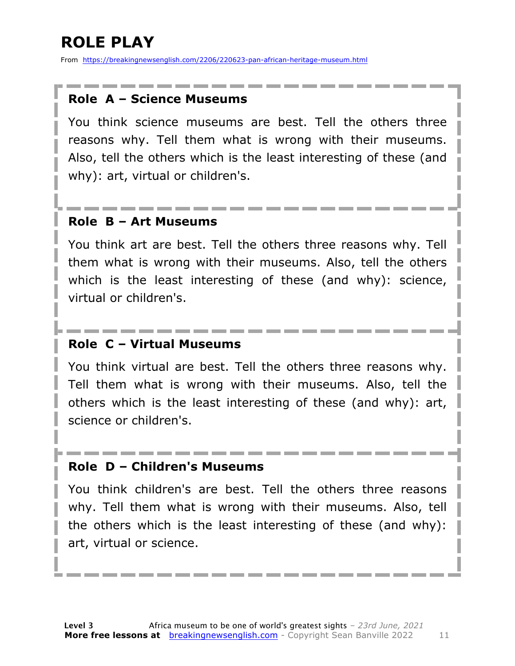### **ROLE PLAY**

From https://breakingnewsenglish.com/2206/220623-pan-african-heritage-museum.html

#### **Role A – Science Museums**

You think science museums are best. Tell the others three reasons why. Tell them what is wrong with their museums. Also, tell the others which is the least interesting of these (and why): art, virtual or children's.

#### **Role B – Art Museums**

You think art are best. Tell the others three reasons why. Tell them what is wrong with their museums. Also, tell the others which is the least interesting of these (and why): science, virtual or children's.

#### **Role C – Virtual Museums**

You think virtual are best. Tell the others three reasons why. Tell them what is wrong with their museums. Also, tell the others which is the least interesting of these (and why): art, science or children's.

#### **Role D – Children's Museums**

You think children's are best. Tell the others three reasons why. Tell them what is wrong with their museums. Also, tell the others which is the least interesting of these (and why): art, virtual or science.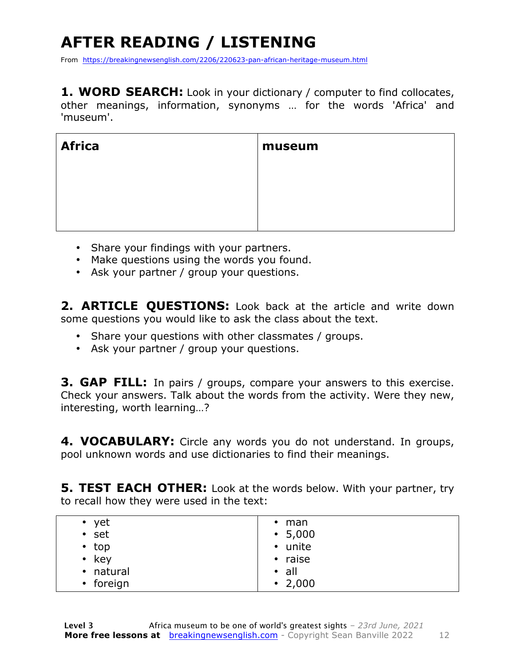### **AFTER READING / LISTENING**

From https://breakingnewsenglish.com/2206/220623-pan-african-heritage-museum.html

**1. WORD SEARCH:** Look in your dictionary / computer to find collocates, other meanings, information, synonyms … for the words 'Africa' and 'museum'.

| <b>Africa</b> | museum |
|---------------|--------|
|               |        |
|               |        |
|               |        |

- Share your findings with your partners.
- Make questions using the words you found.
- Ask your partner / group your questions.

**2. ARTICLE QUESTIONS:** Look back at the article and write down some questions you would like to ask the class about the text.

- Share your questions with other classmates / groups.
- Ask your partner / group your questions.

**3. GAP FILL:** In pairs / groups, compare your answers to this exercise. Check your answers. Talk about the words from the activity. Were they new, interesting, worth learning…?

**4. VOCABULARY:** Circle any words you do not understand. In groups, pool unknown words and use dictionaries to find their meanings.

**5. TEST EACH OTHER:** Look at the words below. With your partner, try to recall how they were used in the text:

| $\bullet$ yet | $\cdot$ man   |
|---------------|---------------|
| $•$ set       | $\cdot$ 5,000 |
| $\cdot$ top   | • unite       |
| $\cdot$ key   | • raise       |
| • natural     | $\cdot$ all   |
| • foreign     | $\cdot$ 2,000 |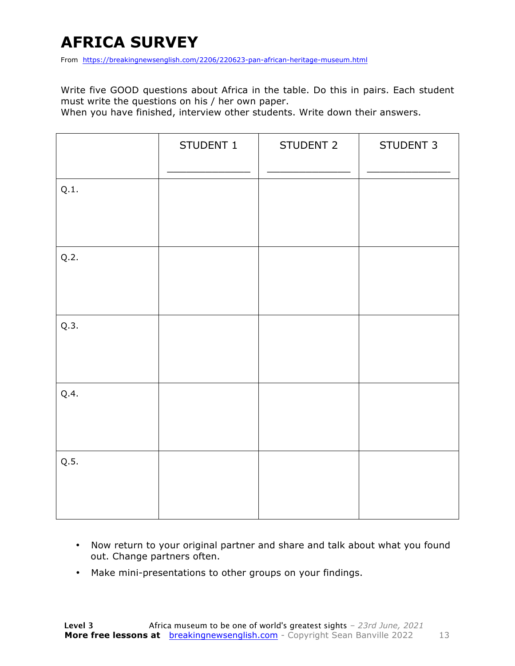### **AFRICA SURVEY**

From https://breakingnewsenglish.com/2206/220623-pan-african-heritage-museum.html

Write five GOOD questions about Africa in the table. Do this in pairs. Each student must write the questions on his / her own paper.

When you have finished, interview other students. Write down their answers.

|      | STUDENT 1 | STUDENT 2 | STUDENT 3 |
|------|-----------|-----------|-----------|
| Q.1. |           |           |           |
| Q.2. |           |           |           |
| Q.3. |           |           |           |
| Q.4. |           |           |           |
| Q.5. |           |           |           |

- Now return to your original partner and share and talk about what you found out. Change partners often.
- Make mini-presentations to other groups on your findings.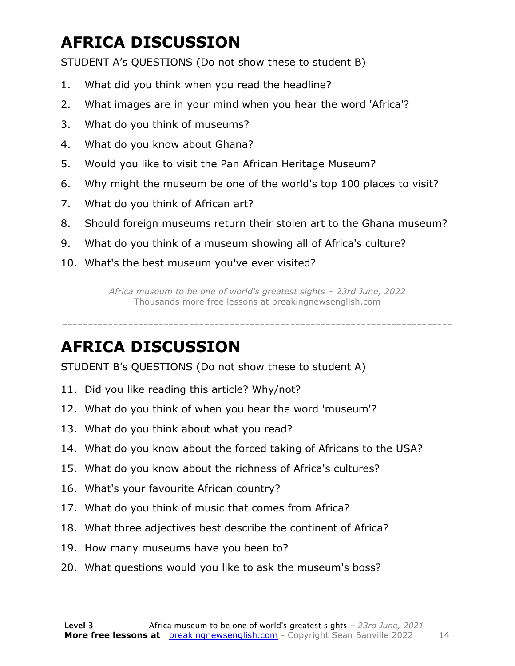### **AFRICA DISCUSSION**

STUDENT A's QUESTIONS (Do not show these to student B)

- 1. What did you think when you read the headline?
- 2. What images are in your mind when you hear the word 'Africa'?
- 3. What do you think of museums?
- 4. What do you know about Ghana?
- 5. Would you like to visit the Pan African Heritage Museum?
- 6. Why might the museum be one of the world's top 100 places to visit?
- 7. What do you think of African art?
- 8. Should foreign museums return their stolen art to the Ghana museum?
- 9. What do you think of a museum showing all of Africa's culture?
- 10. What's the best museum you've ever visited?

*Africa museum to be one of world's greatest sights – 23rd June, 2022* Thousands more free lessons at breakingnewsenglish.com

-----------------------------------------------------------------------------

### **AFRICA DISCUSSION**

STUDENT B's QUESTIONS (Do not show these to student A)

- 11. Did you like reading this article? Why/not?
- 12. What do you think of when you hear the word 'museum'?
- 13. What do you think about what you read?
- 14. What do you know about the forced taking of Africans to the USA?
- 15. What do you know about the richness of Africa's cultures?
- 16. What's your favourite African country?
- 17. What do you think of music that comes from Africa?
- 18. What three adjectives best describe the continent of Africa?
- 19. How many museums have you been to?
- 20. What questions would you like to ask the museum's boss?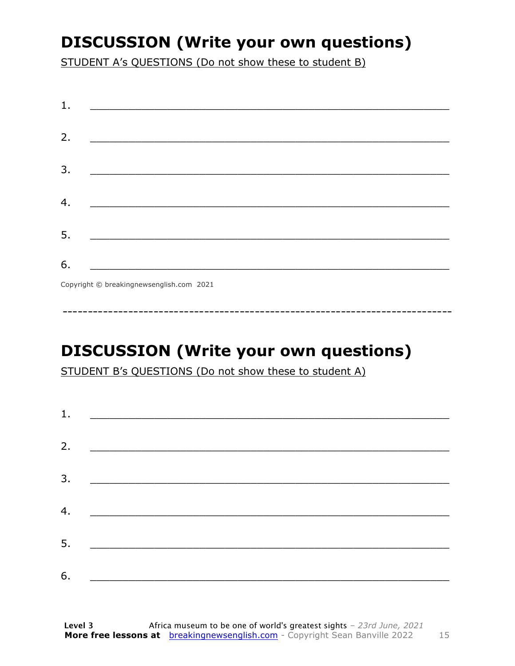### **DISCUSSION (Write your own questions)**

STUDENT A's QUESTIONS (Do not show these to student B)

| 1. |                                                                                                                      |
|----|----------------------------------------------------------------------------------------------------------------------|
| 2. |                                                                                                                      |
| 3. | <u> 1980 - Jan James James James James James James James James James James James James James James James James J</u> |
| 4. |                                                                                                                      |
| 5. | <u> 1989 - Johann John Stone, mars eta biztanleria (h. 1989).</u>                                                    |
| 6. |                                                                                                                      |
|    | $Convright & hmaplineomowcapalich com 2021$                                                                          |

Copyright © breakingnewsenglish.com 2021

### **DISCUSSION (Write your own questions)**

STUDENT B's QUESTIONS (Do not show these to student A)

| 1. |                                                             |  |
|----|-------------------------------------------------------------|--|
| 2. |                                                             |  |
|    |                                                             |  |
| 3. |                                                             |  |
| 4. | <u> 1980 - Johann Barn, mars and de Brasilian (b. 1980)</u> |  |
| 5. | <u> 1980 - Jan Alexandro Alexandro III (m. 1980)</u>        |  |
| 6. |                                                             |  |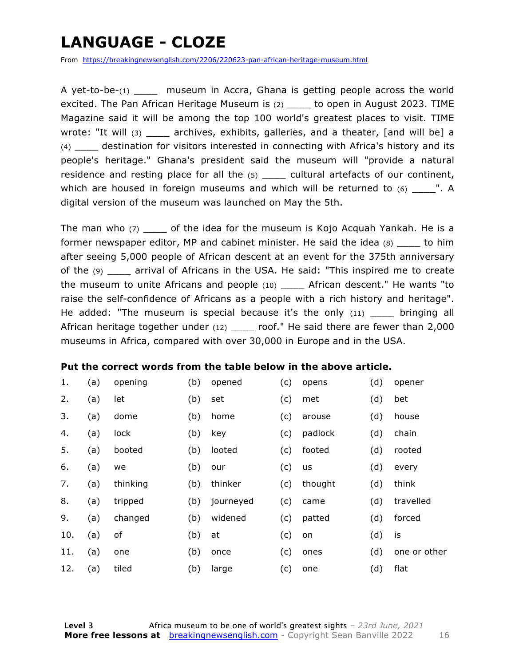### **LANGUAGE - CLOZE**

From https://breakingnewsenglish.com/2206/220623-pan-african-heritage-museum.html

A yet-to-be- $(1)$  museum in Accra, Ghana is getting people across the world excited. The Pan African Heritage Museum is (2) \_\_\_\_ to open in August 2023. TIME Magazine said it will be among the top 100 world's greatest places to visit. TIME wrote: "It will (3) archives, exhibits, galleries, and a theater, [and will be] a (4) \_\_\_\_ destination for visitors interested in connecting with Africa's history and its people's heritage." Ghana's president said the museum will "provide a natural residence and resting place for all the (5) cultural artefacts of our continent, which are housed in foreign museums and which will be returned to  $(6)$  \_\_\_\_". A digital version of the museum was launched on May the 5th.

The man who  $(7)$  of the idea for the museum is Kojo Acquah Yankah. He is a former newspaper editor, MP and cabinet minister. He said the idea (8) to him after seeing 5,000 people of African descent at an event for the 375th anniversary of the (9) \_\_\_\_ arrival of Africans in the USA. He said: "This inspired me to create the museum to unite Africans and people (10) \_\_\_\_ African descent." He wants "to raise the self-confidence of Africans as a people with a rich history and heritage". He added: "The museum is special because it's the only  $(11)$  bringing all African heritage together under (12) \_\_\_\_\_ roof." He said there are fewer than 2,000 museums in Africa, compared with over 30,000 in Europe and in the USA.

#### **Put the correct words from the table below in the above article.**

| 1.  | (a) | opening  | (b) | opened    | (c) | opens   | (d) | opener       |
|-----|-----|----------|-----|-----------|-----|---------|-----|--------------|
| 2.  | (a) | let      | (b) | set       | (c) | met     | (d) | bet          |
| 3.  | (a) | dome     | (b) | home      | (c) | arouse  | (d) | house        |
| 4.  | (a) | lock     | (b) | key       | (c) | padlock | (d) | chain        |
| 5.  | (a) | booted   | (b) | looted    | (c) | footed  | (d) | rooted       |
| 6.  | (a) | we       | (b) | our       | (c) | us      | (d) | every        |
| 7.  | (a) | thinking | (b) | thinker   | (c) | thought | (d) | think        |
| 8.  | (a) | tripped  | (b) | journeyed | (c) | came    | (d) | travelled    |
| 9.  | (a) | changed  | (b) | widened   | (c) | patted  | (d) | forced       |
| 10. | (a) | of       | (b) | at        | (c) | on      | (d) | is           |
| 11. | (a) | one      | (b) | once      | (c) | ones    | (d) | one or other |
| 12. | (a) | tiled    | (b) | large     | (c) | one     | (d) | flat         |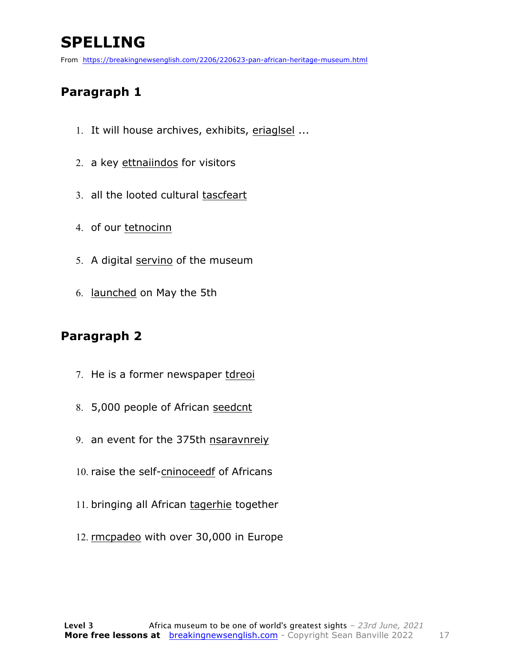### **SPELLING**

From https://breakingnewsenglish.com/2206/220623-pan-african-heritage-museum.html

#### **Paragraph 1**

- 1. It will house archives, exhibits, eriaglsel ...
- 2. a key ettnaiindos for visitors
- 3. all the looted cultural tascfeart
- 4. of our tetnocinn
- 5. A digital servino of the museum
- 6. launched on May the 5th

#### **Paragraph 2**

- 7. He is a former newspaper tdreoi
- 8. 5,000 people of African seedcnt
- 9. an event for the 375th nsaravnreiy
- 10. raise the self-cninoceedf of Africans
- 11. bringing all African tagerhie together
- 12. rmcpadeo with over 30,000 in Europe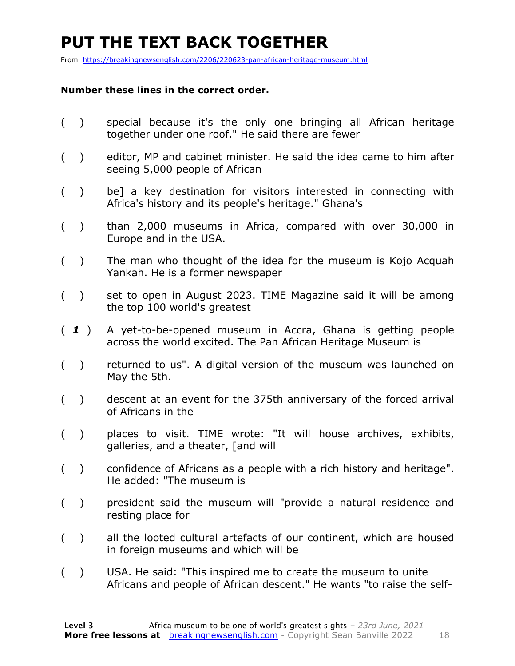### **PUT THE TEXT BACK TOGETHER**

From https://breakingnewsenglish.com/2206/220623-pan-african-heritage-museum.html

#### **Number these lines in the correct order.**

- ( ) special because it's the only one bringing all African heritage together under one roof." He said there are fewer
- ( ) editor, MP and cabinet minister. He said the idea came to him after seeing 5,000 people of African
- ( ) be] a key destination for visitors interested in connecting with Africa's history and its people's heritage." Ghana's
- ( ) than 2,000 museums in Africa, compared with over 30,000 in Europe and in the USA.
- ( ) The man who thought of the idea for the museum is Kojo Acquah Yankah. He is a former newspaper
- ( ) set to open in August 2023. TIME Magazine said it will be among the top 100 world's greatest
- ( *1* ) A yet-to-be-opened museum in Accra, Ghana is getting people across the world excited. The Pan African Heritage Museum is
- ( ) returned to us". A digital version of the museum was launched on May the 5th.
- ( ) descent at an event for the 375th anniversary of the forced arrival of Africans in the
- ( ) places to visit. TIME wrote: "It will house archives, exhibits, galleries, and a theater, [and will
- ( ) confidence of Africans as a people with a rich history and heritage". He added: "The museum is
- ( ) president said the museum will "provide a natural residence and resting place for
- ( ) all the looted cultural artefacts of our continent, which are housed in foreign museums and which will be
- ( ) USA. He said: "This inspired me to create the museum to unite Africans and people of African descent." He wants "to raise the self-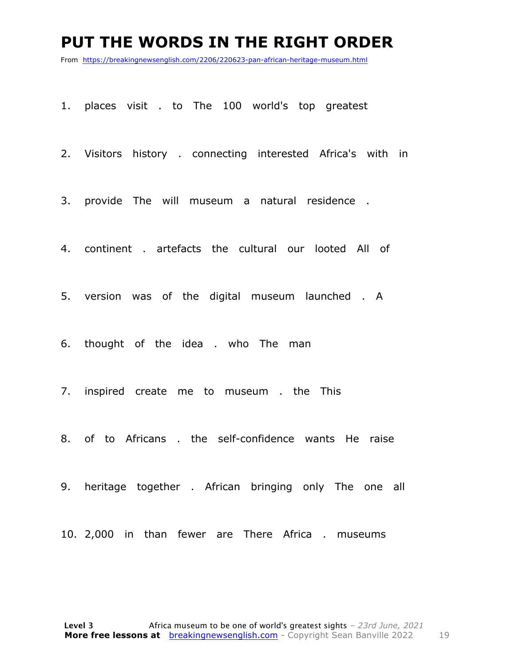#### **PUT THE WORDS IN THE RIGHT ORDER**

From https://breakingnewsenglish.com/2206/220623-pan-african-heritage-museum.html

1. places visit . to The 100 world's top greatest

2. Visitors history . connecting interested Africa's with in

3. provide The will museum a natural residence .

4. continent . artefacts the cultural our looted All of

5. version was of the digital museum launched . A

6. thought of the idea . who The man

7. inspired create me to museum . the This

8. of to Africans . the self-confidence wants He raise

9. heritage together . African bringing only The one all

10. 2,000 in than fewer are There Africa . museums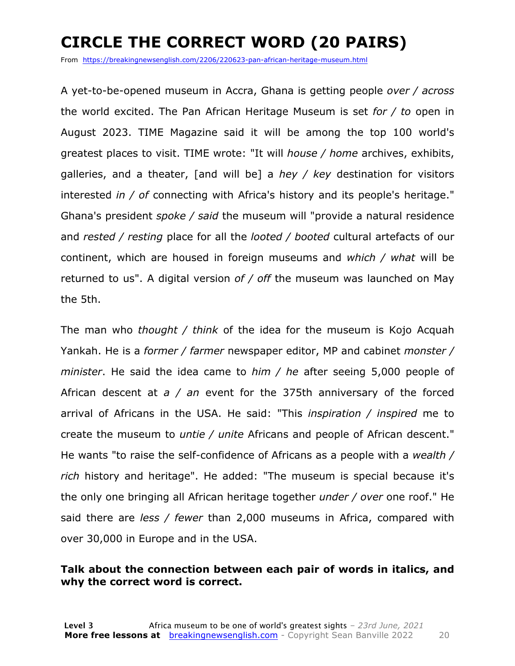### **CIRCLE THE CORRECT WORD (20 PAIRS)**

From https://breakingnewsenglish.com/2206/220623-pan-african-heritage-museum.html

A yet-to-be-opened museum in Accra, Ghana is getting people *over / across* the world excited. The Pan African Heritage Museum is set *for / to* open in August 2023. TIME Magazine said it will be among the top 100 world's greatest places to visit. TIME wrote: "It will *house / home* archives, exhibits, galleries, and a theater, [and will be] a *hey / key* destination for visitors interested *in / of* connecting with Africa's history and its people's heritage." Ghana's president *spoke / said* the museum will "provide a natural residence and *rested / resting* place for all the *looted / booted* cultural artefacts of our continent, which are housed in foreign museums and *which / what* will be returned to us". A digital version *of / off* the museum was launched on May the 5th.

The man who *thought / think* of the idea for the museum is Kojo Acquah Yankah. He is a *former / farmer* newspaper editor, MP and cabinet *monster / minister*. He said the idea came to *him / he* after seeing 5,000 people of African descent at *a / an* event for the 375th anniversary of the forced arrival of Africans in the USA. He said: "This *inspiration / inspired* me to create the museum to *untie / unite* Africans and people of African descent." He wants "to raise the self-confidence of Africans as a people with a *wealth / rich* history and heritage". He added: "The museum is special because it's the only one bringing all African heritage together *under / over* one roof." He said there are *less / fewer* than 2,000 museums in Africa, compared with over 30,000 in Europe and in the USA.

#### **Talk about the connection between each pair of words in italics, and why the correct word is correct.**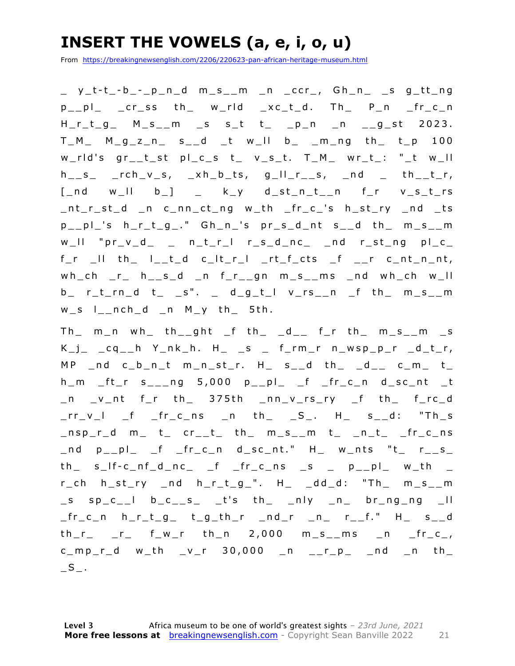### **INSERT THE VOWELS (a, e, i, o, u)**

From https://breakingnewsenglish.com/2206/220623-pan-african-heritage-museum.html

\_ y\_t - t \_ - b \_ - \_p\_n\_d m\_s\_\_m \_n \_ccr\_, Gh\_n\_ \_s g\_tt\_ng p\_\_pl\_ \_cr\_ss th\_ w\_rld \_xc\_t\_d. Th\_ P\_n \_fr\_c\_n  $H_r_t_g$   $M_s_m$   $m_s$   $s_t$   $t$   $p_n$   $n$   $g_s$ t 2023.  $T_M$   $M_g$ <sub>z</sub><sub>n</sub>  $s$ <sub>1</sub>d  $t$   $w$ <sup>1</sup>  $b$ <sub>1</sub>  $m$ <sub>10</sub>  $th$ <sub>10</sub>  $t$ <sub>10</sub> w\_rld's gr\_\_t\_st pl\_c\_s t\_ v\_s\_t. T\_M\_ wr\_t\_: "\_t w\_ll  $h_{--}$ s\_ \_rch\_v\_s, \_xh\_b\_ts, g\_ll\_r\_\_s, \_nd \_ th\_\_t\_r,  $[-nd \quad w_l \quad b_l] = k_y \quad d_st_n_t_n$  f\_r  $v_s_t$ \_nt\_r\_st\_d \_n c\_nn\_ct\_ng w\_th \_fr\_c\_'s h\_st\_ry \_nd \_ts p\_\_pl\_'s h\_r\_ t\_g\_." Gh\_n\_'s pr\_s\_d\_nt s\_\_d th\_ m\_s\_\_m  $w_l = w_l - w_l - w_l$  , we are the state of  $w_l - w_l$  and  $w_l - w_l$  and  $w_l - w_l$  and  $w_l - w_l$  $f_r$   $\Box$  iii th  $\Box$  iii  $\Box$  iii  $\Box$  iii  $\Box$  iii  $\Box$  iii  $\Box$  iii  $\Box$  iii  $\Box$  iii  $\Box$  iii  $\Box$  iii  $\Box$  iii  $\Box$  iii  $\Box$  iii  $\Box$  iii  $\Box$  iii  $\Box$  iii  $\Box$  iii  $\Box$  iii  $\Box$  iii  $\Box$  iii  $\Box$  iii  $\Box$  iii  $\Box$  i wh\_ch \_r\_ h\_\_s\_d \_n f\_r\_\_gn m\_s\_\_ms \_nd wh\_ch w\_ll  $b$ <sub>\_</sub> r\_t\_rn\_d t\_ \_s". \_ d\_g\_t\_l v\_rs\_\_n \_f th\_ m\_s\_\_m  $w_s$   $l_{-}nch_d$   $n$   $M_y$  th 5th.

 $Th$   $m$   $n$   $wh$   $th$   $m$   $th$   $n$   $th$   $th$   $th$   $m$   $l$   $l$   $m$   $l$   $m$   $l$   $m$   $m$   $m$   $m$   $m$   $m$  $K_j$   $_{\text{eq}}$   $_{\text{eq}}$   $_{\text{eq}}$   $_{\text{eq}}$   $_{\text{eq}}$   $_{\text{eq}}$   $_{\text{eq}}$   $_{\text{eq}}$   $_{\text{eq}}$   $_{\text{eq}}$   $_{\text{eq}}$   $_{\text{eq}}$   $_{\text{eq}}$   $_{\text{eq}}$   $_{\text{eq}}$   $_{\text{eq}}$   $_{\text{eq}}$   $_{\text{eq}}$   $_{\text{eq}}$   $_{\text{eq}}$   $_{\text{eq}}$   $_{\text{eq}}$   $_{\text{eq}}$   $_{\text{eq}}$   $MP$  \_nd c\_b\_n\_t m\_n\_st\_r. H\_ s\_\_d th\_ \_d\_\_ c\_m\_ t\_  $h_{m}$   $ft_{r}$  s<sub>\_\_\_</sub>ng 5,000 p\_\_pl\_ \_f \_fr\_c\_n d\_sc\_nt \_t  $\Box$ n  $\Box$ v $\Box$ nt f $\Box$ r th $\Box$  375th  $\Box$ nn $\Box$ v $\Box$ rs $\Box$ ry  $\Box$ f th $\Box$  f $\Box$ rc $\Box$ d  $rr_vl$   $f$   $fr_cns$   $n$  th  $S_i$ . H  $s_d$ : "Th s \_nsp\_r\_d m\_ t\_ cr\_\_t\_ th\_ m\_s\_\_m t\_ \_n\_t\_ \_fr\_c\_ns  $\Box$ nd p $\Box$ pl $\Box$  f  $\Box$  fr $\Box$ c $\Box$ n d $\Box$ sc $\Box$ nt." H $\Box$  w $\Box$ nts "t $\Box$  r $\Box$ s $\Box$  $th$ <sub>\_</sub> s\_lf-c\_nf\_d\_nc\_ \_f \_fr\_c\_ns \_s \_ p\_\_pl\_ w\_th \_  $r_c$ ch h\_st\_ry \_nd h\_r\_t\_g\_". H\_ \_dd\_d: "Th\_ m\_s\_\_m  $\_s$  sp $\_c\_$  b $\_c\_s$   $\_t$ 's th $\_$   $\_n$ ly  $\_n$  br $\_ng\_ng$   $\_ll$ \_fr\_c\_n h\_r\_t\_g\_ t\_g\_th\_r \_nd\_r \_n\_ r\_\_f." H\_ s\_\_d  $th_r$   $_r$   $r$   $f_w$ r  $th_n$   $2,000$   $m_s$   $m_s$   $n$   $fr_c$  $c_{mm}$  c\_mp\_r\_d w\_th \_v\_r 30,000 \_n \_\_r\_p\_ \_nd \_n th\_  $\_S$ .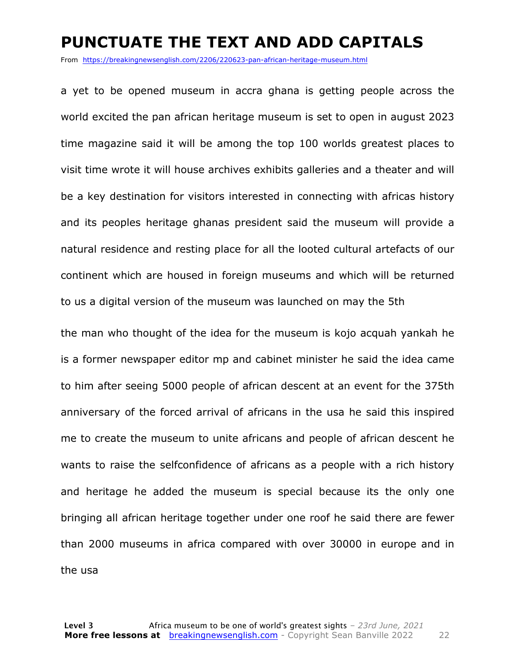#### **PUNCTUATE THE TEXT AND ADD CAPITALS**

From https://breakingnewsenglish.com/2206/220623-pan-african-heritage-museum.html

a yet to be opened museum in accra ghana is getting people across the world excited the pan african heritage museum is set to open in august 2023 time magazine said it will be among the top 100 worlds greatest places to visit time wrote it will house archives exhibits galleries and a theater and will be a key destination for visitors interested in connecting with africas history and its peoples heritage ghanas president said the museum will provide a natural residence and resting place for all the looted cultural artefacts of our continent which are housed in foreign museums and which will be returned to us a digital version of the museum was launched on may the 5th

the man who thought of the idea for the museum is kojo acquah yankah he is a former newspaper editor mp and cabinet minister he said the idea came to him after seeing 5000 people of african descent at an event for the 375th anniversary of the forced arrival of africans in the usa he said this inspired me to create the museum to unite africans and people of african descent he wants to raise the selfconfidence of africans as a people with a rich history and heritage he added the museum is special because its the only one bringing all african heritage together under one roof he said there are fewer than 2000 museums in africa compared with over 30000 in europe and in the usa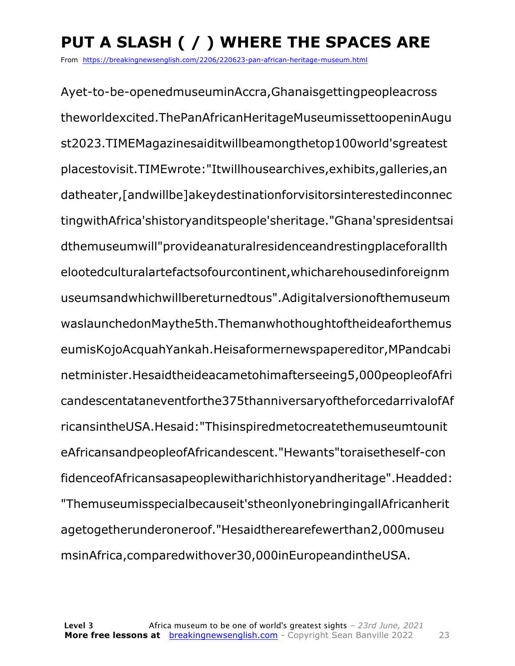### **PUT A SLASH ( / ) WHERE THE SPACES ARE**

From https://breakingnewsenglish.com/2206/220623-pan-african-heritage-museum.html

Ayet-to-be-openedmuseuminAccra,Ghanaisgettingpeopleacross theworldexcited.ThePanAfricanHeritageMuseumissettoopeninAugu st2023.TIMEMagazinesaiditwillbeamongthetop100world'sgreatest placestovisit.TIMEwrote:"Itwillhousearchives,exhibits,galleries,an datheater,[andwillbe]akeydestinationforvisitorsinterestedinconnec tingwithAfrica'shistoryanditspeople'sheritage."Ghana'spresidentsai dthemuseumwill"provideanaturalresidenceandrestingplaceforallth elootedculturalartefactsofourcontinent,whicharehousedinforeignm useumsandwhichwillbereturnedtous".Adigitalversionofthemuseum waslaunchedonMaythe5th.Themanwhothoughtoftheideaforthemus eumisKojoAcquahYankah.Heisaformernewspapereditor,MPandcabi netminister.Hesaidtheideacametohimafterseeing5,000peopleofAfri candescentataneventforthe375thanniversaryoftheforcedarrivalofAf ricansintheUSA.Hesaid:"Thisinspiredmetocreatethemuseumtounit eAfricansandpeopleofAfricandescent."Hewants"toraisetheself-con fidenceofAfricansasapeoplewitharichhistoryandheritage".Headded: "Themuseumisspecialbecauseit'stheonlyonebringingallAfricanherit agetogetherunderoneroof."Hesaidtherearefewerthan2,000museu msinAfrica,comparedwithover30,000inEuropeandintheUSA.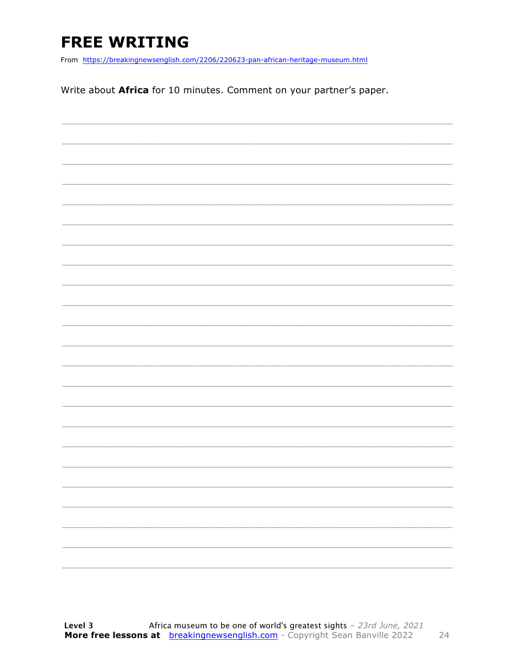### **FREE WRITING**

From https://breakingnewsenglish.com/2206/220623-pan-african-heritage-museum.html

Write about Africa for 10 minutes. Comment on your partner's paper.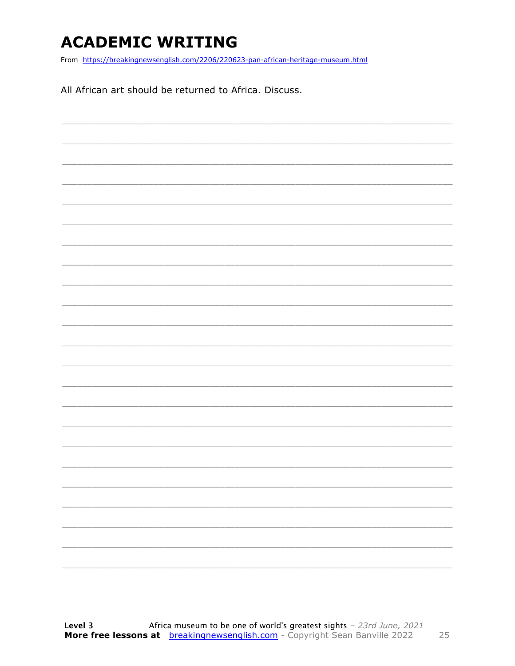### **ACADEMIC WRITING**

From https://breakingnewsenglish.com/2206/220623-pan-african-heritage-museum.html

All African art should be returned to Africa. Discuss.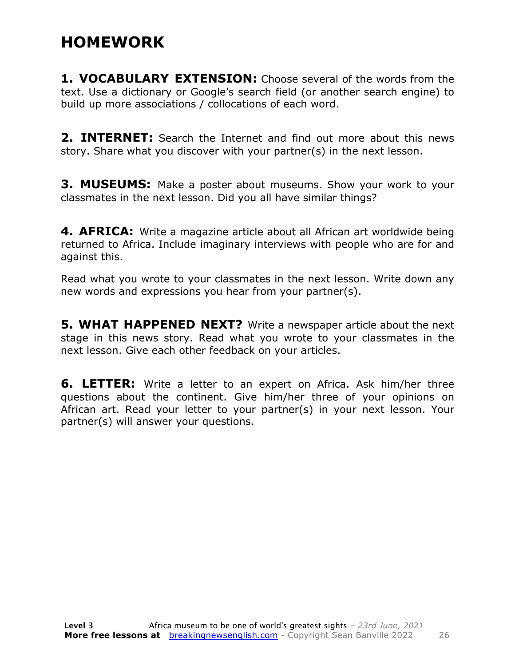### **HOMEWORK**

**1. VOCABULARY EXTENSION:** Choose several of the words from the text. Use a dictionary or Google's search field (or another search engine) to build up more associations / collocations of each word.

**2. INTERNET:** Search the Internet and find out more about this news story. Share what you discover with your partner(s) in the next lesson.

**3. MUSEUMS:** Make a poster about museums. Show your work to your classmates in the next lesson. Did you all have similar things?

**4. AFRICA:** Write a magazine article about all African art worldwide being returned to Africa. Include imaginary interviews with people who are for and against this.

Read what you wrote to your classmates in the next lesson. Write down any new words and expressions you hear from your partner(s).

**5. WHAT HAPPENED NEXT?** Write a newspaper article about the next stage in this news story. Read what you wrote to your classmates in the next lesson. Give each other feedback on your articles.

**6. LETTER:** Write a letter to an expert on Africa. Ask him/her three questions about the continent. Give him/her three of your opinions on African art. Read your letter to your partner(s) in your next lesson. Your partner(s) will answer your questions.